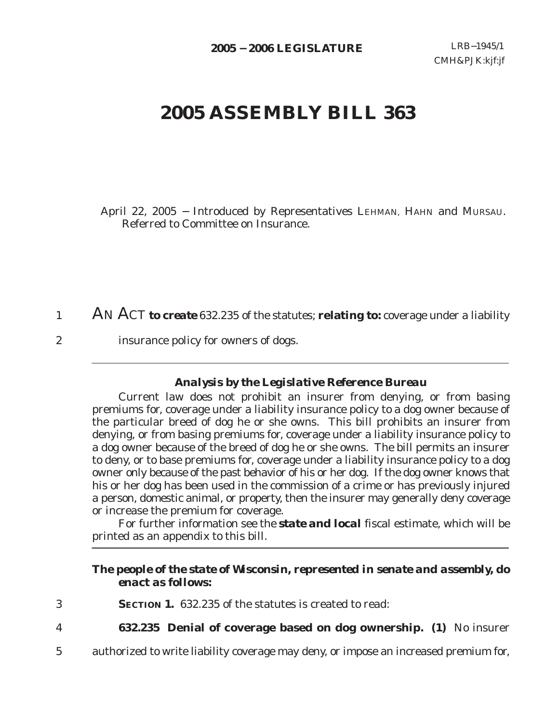# **2005 ASSEMBLY BILL 363**

 April 22, 2005 − Introduced by Representatives LEHMAN, HAHN and MURSAU. Referred to Committee on Insurance.

AN ACT *to create* 632.235 of the statutes; **relating to:** coverage under a liability 1

insurance policy for owners of dogs.

2

#### *Analysis by the Legislative Reference Bureau*

Current law does not prohibit an insurer from denying, or from basing premiums for, coverage under a liability insurance policy to a dog owner because of the particular breed of dog he or she owns. This bill prohibits an insurer from denying, or from basing premiums for, coverage under a liability insurance policy to a dog owner because of the breed of dog he or she owns. The bill permits an insurer to deny, or to base premiums for, coverage under a liability insurance policy to a dog owner only because of the past behavior of his or her dog. If the dog owner knows that his or her dog has been used in the commission of a crime or has previously injured a person, domestic animal, or property, then the insurer may generally deny coverage or increase the premium for coverage.

For further information see the *state and local* fiscal estimate, which will be printed as an appendix to this bill.

#### *The people of the state of Wisconsin, represented in senate and assembly, do enact as follows:*

- **SECTION 1.** 632.235 of the statutes is created to read: 3
- **632.235 Denial of coverage based on dog ownership. (1)** No insurer 4
- authorized to write liability coverage may deny, or impose an increased premium for, 5